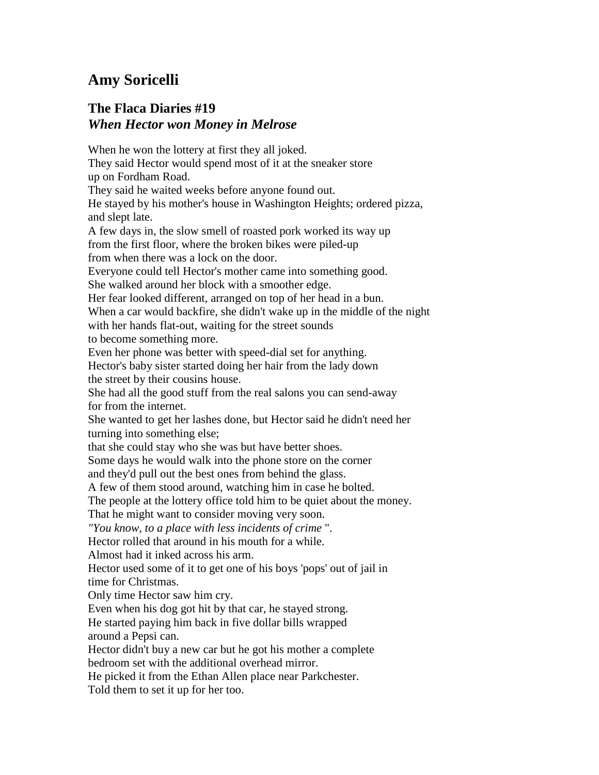## **Amy Soricelli**

## **The Flaca Diaries #19** *When Hector won Money in Melrose*

When he won the lottery at first they all joked. They said Hector would spend most of it at the sneaker store up on Fordham Road. They said he waited weeks before anyone found out. He stayed by his mother's house in Washington Heights; ordered pizza, and slept late. A few days in, the slow smell of roasted pork worked its way up from the first floor, where the broken bikes were piled-up from when there was a lock on the door. Everyone could tell Hector's mother came into something good. She walked around her block with a smoother edge. Her fear looked different, arranged on top of her head in a bun. When a car would backfire, she didn't wake up in the middle of the night with her hands flat-out, waiting for the street sounds to become something more. Even her phone was better with speed-dial set for anything. Hector's baby sister started doing her hair from the lady down the street by their cousins house. She had all the good stuff from the real salons you can send-away for from the internet. She wanted to get her lashes done, but Hector said he didn't need her turning into something else; that she could stay who she was but have better shoes. Some days he would walk into the phone store on the corner and they'd pull out the best ones from behind the glass. A few of them stood around, watching him in case he bolted. The people at the lottery office told him to be quiet about the money. That he might want to consider moving very soon. *"You know, to a place with less incidents of crime* ". Hector rolled that around in his mouth for a while. Almost had it inked across his arm. Hector used some of it to get one of his boys 'pops' out of jail in time for Christmas. Only time Hector saw him cry. Even when his dog got hit by that car, he stayed strong. He started paying him back in five dollar bills wrapped around a Pepsi can. Hector didn't buy a new car but he got his mother a complete bedroom set with the additional overhead mirror. He picked it from the Ethan Allen place near Parkchester. Told them to set it up for her too.